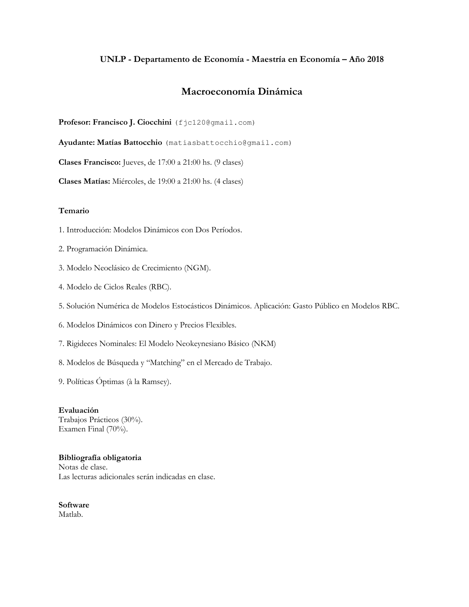# **UNLP - Departamento de Economía - Maestría en Economía – Año 2018**

# **Macroeconomía Dinámica**

Profesor: Francisco J. Ciocchini (fjc120@gmail.com)

**Ayudante: Matías Battocchio** (matiasbattocchio@gmail.com)

**Clases Francisco:** Jueves, de 17:00 a 21:00 hs. (9 clases)

**Clases Matías:** Miércoles, de 19:00 a 21:00 hs. (4 clases)

### **Temario**

- 1. Introducción: Modelos Dinámicos con Dos Períodos.
- 2. Programación Dinámica.
- 3. Modelo Neoclásico de Crecimiento (NGM).
- 4. Modelo de Ciclos Reales (RBC).
- 5. Solución Numérica de Modelos Estocásticos Dinámicos. Aplicación: Gasto Público en Modelos RBC.
- 6. Modelos Dinámicos con Dinero y Precios Flexibles.
- 7. Rigideces Nominales: El Modelo Neokeynesiano Básico (NKM)
- 8. Modelos de Búsqueda y "Matching" en el Mercado de Trabajo.
- 9. Políticas Óptimas (à la Ramsey).

**Evaluación**  Trabajos Prácticos (30%). Examen Final (70%).

### **Bibliografía obligatoria**  Notas de clase. Las lecturas adicionales serán indicadas en clase.

**Software**  Matlab.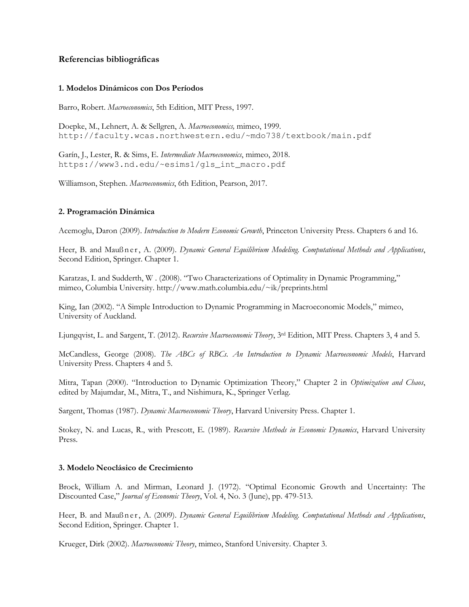# **Referencias bibliográficas**

### **1. Modelos Dinámicos con Dos Períodos**

Barro, Robert. *Macroeconomics*, 5th Edition, MIT Press, 1997.

Doepke, M., Lehnert, A. & Sellgren, A. *Macroeconomics,* mimeo, 1999. http://faculty.wcas.northwestern.edu/~mdo738/textbook/main.pdf

Garín, J., Lester, R. & Sims, E. *Intermediate Macroeconomics*, mimeo, 2018. https://www3.nd.edu/~esims1/gls\_int\_macro.pdf

Williamson, Stephen. *Macroeconomics*, 6th Edition, Pearson, 2017.

## **2. Programación Dinámica**

Acemoglu, Daron (2009). *Introduction to Modern Economic Growth*, Princeton University Press. Chapters 6 and 16.

Heer, B. and Maußner, A. (2009). *Dynamic General Equilibrium Modeling. Computational Methods and Applications*, Second Edition, Springer. Chapter 1.

Karatzas, I. and Sudderth, W . (2008). "Two Characterizations of Optimality in Dynamic Programming," mimeo, Columbia University. http://www.math.columbia.edu/~ik/preprints.html

King, Ian (2002). "A Simple Introduction to Dynamic Programming in Macroeconomic Models," mimeo, University of Auckland.

Ljungqvist, L. and Sargent, T. (2012). *Recursive Macroeconomic Theory*, 3rd Edition, MIT Press. Chapters 3, 4 and 5.

McCandless, George (2008). *The ABCs of RBCs. An Introduction to Dynamic Macroeconomic Models*, Harvard University Press. Chapters 4 and 5.

Mitra, Tapan (2000). "Introduction to Dynamic Optimization Theory," Chapter 2 in *Optimization and Chaos*, edited by Majumdar, M., Mitra, T., and Nishimura, K., Springer Verlag.

Sargent, Thomas (1987). *Dynamic Macroeconomic Theory*, Harvard University Press. Chapter 1.

Stokey, N. and Lucas, R., with Prescott, E. (1989). *Recursive Methods in Economic Dynamics*, Harvard University Press.

## **3. Modelo Neoclásico de Crecimiento**

Brock, William A. and Mirman, Leonard J. (1972). "Optimal Economic Growth and Uncertainty: The Discounted Case," *Journal of Economic Theory*, Vol. 4, No. 3 (June), pp. 479-513.

Heer, B. and Mauß n e r, A. (2009). *Dynamic General Equilibrium Modeling. Computational Methods and Applications*, Second Edition, Springer. Chapter 1.

Krueger, Dirk (2002). *Macroeconomic Theory*, mimeo, Stanford University. Chapter 3.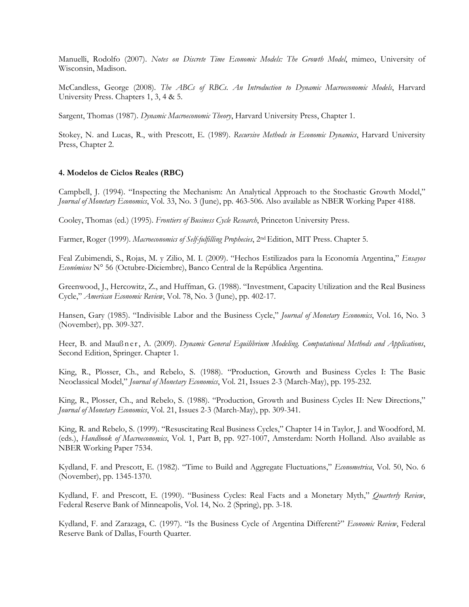Manuelli, Rodolfo (2007). *Notes on Discrete Time Economic Models: The Growth Model*, mimeo, University of Wisconsin, Madison.

McCandless, George (2008). *The ABCs of RBCs. An Introduction to Dynamic Macroeconomic Models*, Harvard University Press. Chapters 1, 3, 4 & 5.

Sargent, Thomas (1987). *Dynamic Macroeconomic Theory*, Harvard University Press, Chapter 1.

Stokey, N. and Lucas, R., with Prescott, E. (1989). *Recursive Methods in Economic Dynamics*, Harvard University Press, Chapter 2.

#### **4. Modelos de Ciclos Reales (RBC)**

Campbell, J. (1994). "Inspecting the Mechanism: An Analytical Approach to the Stochastic Growth Model," *Journal of Monetary Economics*, Vol. 33, No. 3 (June), pp. 463-506. Also available as NBER Working Paper 4188.

Cooley, Thomas (ed.) (1995). *Frontiers of Business Cycle Research*, Princeton University Press.

Farmer, Roger (1999). *Macroeconomics of Self-fulfilling Prophecies*, 2nd Edition, MIT Press. Chapter 5.

Feal Zubimendi, S., Rojas, M. y Zilio, M. I. (2009). "Hechos Estilizados para la Economía Argentina," *Ensayos Económicos* N° 56 (Octubre-Diciembre), Banco Central de la República Argentina.

Greenwood, J., Hercowitz, Z., and Huffman, G. (1988). "Investment, Capacity Utilization and the Real Business Cycle," *American Economic Review*, Vol. 78, No. 3 (June), pp. 402-17.

Hansen, Gary (1985). "Indivisible Labor and the Business Cycle," *Journal of Monetary Economics*, Vol. 16, No. 3 (November), pp. 309-327.

Heer, B. and Mauß n e r, A. (2009). *Dynamic General Equilibrium Modeling. Computational Methods and Applications*, Second Edition, Springer. Chapter 1.

King, R., Plosser, Ch., and Rebelo, S. (1988). "Production, Growth and Business Cycles I: The Basic Neoclassical Model," *Journal of Monetary Economics*, Vol. 21, Issues 2-3 (March-May), pp. 195-232.

King, R., Plosser, Ch., and Rebelo, S. (1988). "Production, Growth and Business Cycles II: New Directions," *Journal of Monetary Economics*, Vol. 21, Issues 2-3 (March-May), pp. 309-341.

King, R. and Rebelo, S. (1999). "Resuscitating Real Business Cycles," Chapter 14 in Taylor, J. and Woodford, M. (eds.), *Handbook of Macroeconomics*, Vol. 1, Part B, pp. 927-1007, Amsterdam: North Holland. Also available as NBER Working Paper 7534.

Kydland, F. and Prescott, E. (1982). "Time to Build and Aggregate Fluctuations," *Econometrica*, Vol. 50, No. 6 (November), pp. 1345-1370.

Kydland, F. and Prescott, E. (1990). "Business Cycles: Real Facts and a Monetary Myth," *Quarterly Review*, Federal Reserve Bank of Minneapolis, Vol. 14, No. 2 (Spring), pp. 3-18.

Kydland, F. and Zarazaga, C. (1997). "Is the Business Cycle of Argentina Different?" *Economic Review*, Federal Reserve Bank of Dallas, Fourth Quarter.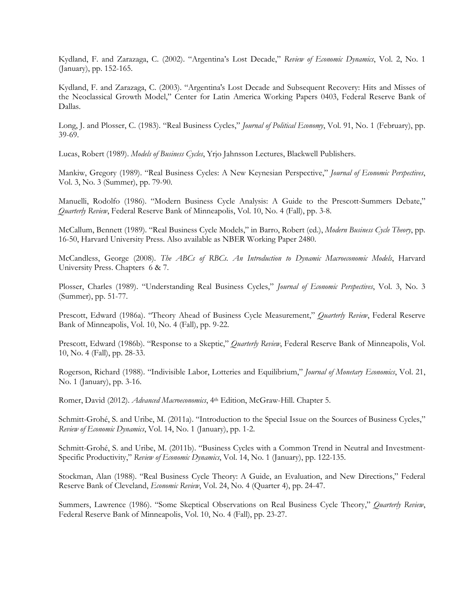Kydland, F. and Zarazaga, C. (2002). "Argentina's Lost Decade," *Review of Economic Dynamics*, Vol. 2, No. 1 (January), pp. 152-165.

Kydland, F. and Zarazaga, C. (2003). "Argentina's Lost Decade and Subsequent Recovery: Hits and Misses of the Neoclassical Growth Model," Center for Latin America Working Papers 0403, Federal Reserve Bank of Dallas.

Long, J. and Plosser, C. (1983). "Real Business Cycles," *Journal of Political Economy*, Vol. 91, No. 1 (February), pp. 39-69.

Lucas, Robert (1989). *Models of Business Cycles*, Yrjo Jahnsson Lectures, Blackwell Publishers.

Mankiw, Gregory (1989). "Real Business Cycles: A New Keynesian Perspective," *Journal of Economic Perspectives*, Vol. 3, No. 3 (Summer), pp. 79-90.

Manuelli, Rodolfo (1986). "Modern Business Cycle Analysis: A Guide to the Prescott-Summers Debate," *Quarterly Review*, Federal Reserve Bank of Minneapolis, Vol. 10, No. 4 (Fall), pp. 3-8.

McCallum, Bennett (1989). "Real Business Cycle Models," in Barro, Robert (ed.), *Modern Business Cycle Theory*, pp. 16-50, Harvard University Press. Also available as NBER Working Paper 2480.

McCandless, George (2008). *The ABCs of RBCs. An Introduction to Dynamic Macroeconomic Models*, Harvard University Press. Chapters 6 & 7.

Plosser, Charles (1989). "Understanding Real Business Cycles," *Journal of Economic Perspectives*, Vol. 3, No. 3 (Summer), pp. 51-77.

Prescott, Edward (1986a). "Theory Ahead of Business Cycle Measurement," *Quarterly Review*, Federal Reserve Bank of Minneapolis, Vol. 10, No. 4 (Fall), pp. 9-22.

Prescott, Edward (1986b). "Response to a Skeptic," *Quarterly Review*, Federal Reserve Bank of Minneapolis, Vol. 10, No. 4 (Fall), pp. 28-33.

Rogerson, Richard (1988). "Indivisible Labor, Lotteries and Equilibrium," *Journal of Monetary Economics*, Vol. 21, No. 1 (January), pp. 3-16.

Romer, David (2012). *Advanced Macroeconomics*, 4th Edition, McGraw-Hill. Chapter 5.

Schmitt-Grohé, S. and Uribe, M. (2011a). "Introduction to the Special Issue on the Sources of Business Cycles," *Review of Economic Dynamics*, Vol. 14, No. 1 (January), pp. 1-2.

Schmitt-Grohé, S. and Uribe, M. (2011b). "Business Cycles with a Common Trend in Neutral and Investment-Specific Productivity," *Review of Economic Dynamics*, Vol. 14, No. 1 (January), pp. 122-135.

Stockman, Alan (1988). "Real Business Cycle Theory: A Guide, an Evaluation, and New Directions," Federal Reserve Bank of Cleveland, *Economic Review*, Vol. 24, No. 4 (Quarter 4), pp. 24-47.

Summers, Lawrence (1986). "Some Skeptical Observations on Real Business Cycle Theory," *Quarterly Review*, Federal Reserve Bank of Minneapolis, Vol. 10, No. 4 (Fall), pp. 23-27.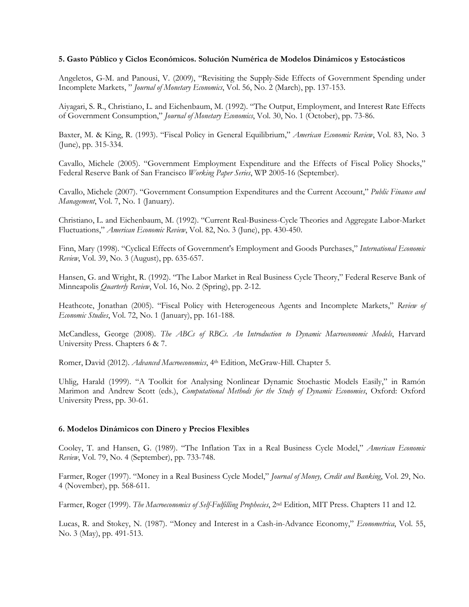#### **5. Gasto Público y Ciclos Económicos. Solución Numérica de Modelos Dinámicos y Estocásticos**

Angeletos, G-M. and Panousi, V. (2009), "Revisiting the Supply-Side Effects of Government Spending under Incomplete Markets, " *Journal of Monetary Economics*, Vol. 56, No. 2 (March), pp. 137-153.

Aiyagari, S. R., Christiano, L. and Eichenbaum, M. (1992). "The Output, Employment, and Interest Rate Effects of Government Consumption," *Journal of Monetary Economics*, Vol. 30, No. 1 (October), pp. 73-86.

Baxter, M. & King, R. (1993). "Fiscal Policy in General Equilibrium," *American Economic Review*, Vol. 83, No. 3 (June), pp. 315-334.

Cavallo, Michele (2005). "Government Employment Expenditure and the Effects of Fiscal Policy Shocks," Federal Reserve Bank of San Francisco *Working Paper Series*, WP 2005-16 (September).

Cavallo, Michele (2007). "Government Consumption Expenditures and the Current Account," *Public Finance and Management*, Vol. 7, No. 1 (January).

Christiano, L. and Eichenbaum, M. (1992). "Current Real-Business-Cycle Theories and Aggregate Labor-Market Fluctuations," *American Economic Review*, Vol. 82, No. 3 (June), pp. 430-450.

Finn, Mary (1998). "Cyclical Effects of Government's Employment and Goods Purchases," *International Economic Review*, Vol. 39, No. 3 (August), pp. 635-657.

Hansen, G. and Wright, R. (1992). "The Labor Market in Real Business Cycle Theory," Federal Reserve Bank of Minneapolis *Quarterly Review*, Vol. 16, No. 2 (Spring), pp. 2-12.

Heathcote, Jonathan (2005). "Fiscal Policy with Heterogeneous Agents and Incomplete Markets," *Review of Economic Studies*, Vol. 72, No. 1 (January), pp. 161-188.

McCandless, George (2008). *The ABCs of RBCs. An Introduction to Dynamic Macroeconomic Models*, Harvard University Press. Chapters 6 & 7.

Romer, David (2012). *Advanced Macroeconomics*, 4th Edition, McGraw-Hill. Chapter 5.

Uhlig, Harald (1999). "A Toolkit for Analysing Nonlinear Dynamic Stochastic Models Easily," in Ramón Marimon and Andrew Scott (eds.), *Computational Methods for the Study of Dynamic Economies*, Oxford: Oxford University Press, pp. 30-61.

#### **6. Modelos Dinámicos con Dinero y Precios Flexibles**

Cooley, T. and Hansen, G. (1989). "The Inflation Tax in a Real Business Cycle Model," *American Economic Review*, Vol. 79, No. 4 (September), pp. 733-748.

Farmer, Roger (1997). "Money in a Real Business Cycle Model," *Journal of Money, Credit and Banking*, Vol. 29, No. 4 (November), pp. 568-611.

Farmer, Roger (1999). *The Macroeconomics of Self-Fulfilling Prophecies*, 2nd Edition, MIT Press. Chapters 11 and 12.

Lucas, R. and Stokey, N. (1987). "Money and Interest in a Cash-in-Advance Economy," *Econometrica*, Vol. 55, No. 3 (May), pp. 491-513.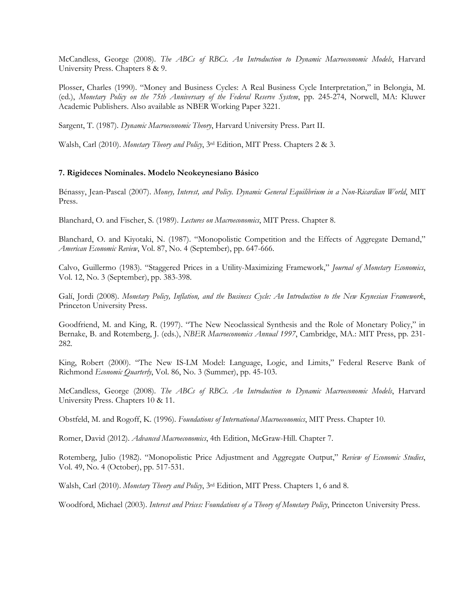McCandless, George (2008). *The ABCs of RBCs. An Introduction to Dynamic Macroeconomic Models*, Harvard University Press. Chapters 8 & 9.

Plosser, Charles (1990). "Money and Business Cycles: A Real Business Cycle Interpretation," in Belongia, M. (ed.), *Monetary Policy on the 75th Anniversary of the Federal Reserve System*, pp. 245-274, Norwell, MA: Kluwer Academic Publishers. Also available as NBER Working Paper 3221.

Sargent, T. (1987). *Dynamic Macroeconomic Theory*, Harvard University Press. Part II.

Walsh, Carl (2010). *Monetary Theory and Policy*, 3rd Edition, MIT Press. Chapters 2 & 3.

## **7. Rigideces Nominales. Modelo Neokeynesiano Básico**

Bénassy, Jean-Pascal (2007). *Money, Interest, and Policy. Dynamic General Equilibrium in a Non-Ricardian World*, MIT Press.

Blanchard, O. and Fischer, S. (1989). *Lectures on Macroeconomics*, MIT Press. Chapter 8.

Blanchard, O. and Kiyotaki, N. (1987). "Monopolistic Competition and the Effects of Aggregate Demand," *American Economic Review*, Vol. 87, No. 4 (September), pp. 647-666.

Calvo, Guillermo (1983). "Staggered Prices in a Utility-Maximizing Framework," *Journal of Monetary Economics*, Vol. 12, No. 3 (September), pp. 383-398.

Galí, Jordi (2008). *Monetary Policy, Inflation, and the Business Cycle: An Introduction to the New Keynesian Framework*, Princeton University Press.

Goodfriend, M. and King, R. (1997). "The New Neoclassical Synthesis and the Role of Monetary Policy," in Bernake, B. and Rotemberg, J. (eds.), *NBER Macroeconomics Annual 1997*, Cambridge, MA.: MIT Press, pp. 231- 282.

King, Robert (2000). "The New IS-LM Model: Language, Logic, and Limits," Federal Reserve Bank of Richmond *Economic Quarterly*, Vol. 86, No. 3 (Summer), pp. 45-103.

McCandless, George (2008). *The ABCs of RBCs. An Introduction to Dynamic Macroeconomic Models*, Harvard University Press. Chapters 10 & 11.

Obstfeld, M. and Rogoff, K. (1996). *Foundations of International Macroeconomics*, MIT Press. Chapter 10.

Romer, David (2012). *Advanced Macroeconomics*, 4th Edition, McGraw-Hill. Chapter 7.

Rotemberg, Julio (1982). "Monopolistic Price Adjustment and Aggregate Output," *Review of Economic Studies*, Vol. 49, No. 4 (October), pp. 517-531.

Walsh, Carl (2010). *Monetary Theory and Policy*, 3rd Edition, MIT Press. Chapters 1, 6 and 8.

Woodford, Michael (2003). *Interest and Prices: Foundations of a Theory of Monetary Policy*, Princeton University Press.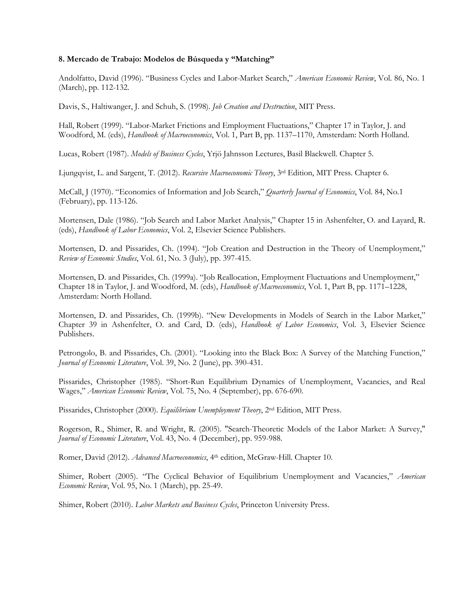#### **8. Mercado de Trabajo: Modelos de Búsqueda y "Matching"**

Andolfatto, David (1996). "Business Cycles and Labor-Market Search," *American Economic Review*, Vol. 86, No. 1 (March), pp. 112-132.

Davis, S., Haltiwanger, J. and Schuh, S. (1998). *Job Creation and Destruction*, MIT Press.

Hall, Robert (1999). "Labor-Market Frictions and Employment Fluctuations," Chapter 17 in Taylor, J. and Woodford, M. (eds), *Handbook of Macroeconomics*, Vol. 1, Part B, pp. 1137–1170, Amsterdam: North Holland.

Lucas, Robert (1987). *Models of Business Cycles*, Yrjö Jahnsson Lectures, Basil Blackwell. Chapter 5.

Ljungqvist, L. and Sargent, T. (2012). *Recursive Macroeconomic Theory*, 3rd Edition, MIT Press. Chapter 6.

McCall, J (1970). "Economics of Information and Job Search," *Quarterly Journal of Economics*, Vol. 84, No.1 (February), pp. 113-126.

Mortensen, Dale (1986). "Job Search and Labor Market Analysis," Chapter 15 in Ashenfelter, O. and Layard, R. (eds), *Handbook of Labor Economics*, Vol. 2, Elsevier Science Publishers.

Mortensen, D. and Pissarides, Ch. (1994). "Job Creation and Destruction in the Theory of Unemployment," *Review of Economic Studies*, Vol. 61, No. 3 (July), pp. 397-415.

Mortensen, D. and Pissarides, Ch. (1999a). "Job Reallocation, Employment Fluctuations and Unemployment," Chapter 18 in Taylor, J. and Woodford, M. (eds), *Handbook of Macroeconomics*, Vol. 1, Part B, pp. 1171–1228, Amsterdam: North Holland.

Mortensen, D. and Pissarides, Ch. (1999b). "New Developments in Models of Search in the Labor Market," Chapter 39 in Ashenfelter, O. and Card, D. (eds), *Handbook of Labor Economics*, Vol. 3, Elsevier Science Publishers.

Petrongolo, B. and Pissarides, Ch. (2001). "Looking into the Black Box: A Survey of the Matching Function," *Journal of Economic Literature*, Vol. 39, No. 2 (June), pp. 390-431.

Pissarides, Christopher (1985). "Short-Run Equilibrium Dynamics of Unemployment, Vacancies, and Real Wages," *American Economic Review*, Vol. 75, No. 4 (September), pp. 676-690.

Pissarides, Christopher (2000). *Equilibrium Unemployment Theory*, 2nd Edition, MIT Press.

Rogerson, R., Shimer, R. and Wright, R. (2005). "Search-Theoretic Models of the Labor Market: A Survey," *Journal of Economic Literature*, Vol. 43, No. 4 (December), pp. 959-988.

Romer, David (2012). *Advanced Macroeconomics*, 4th edition, McGraw-Hill. Chapter 10.

Shimer, Robert (2005). "The Cyclical Behavior of Equilibrium Unemployment and Vacancies," *American Economic Review*, Vol. 95, No. 1 (March), pp. 25-49.

Shimer, Robert (2010). *Labor Markets and Business Cycles*, Princeton University Press.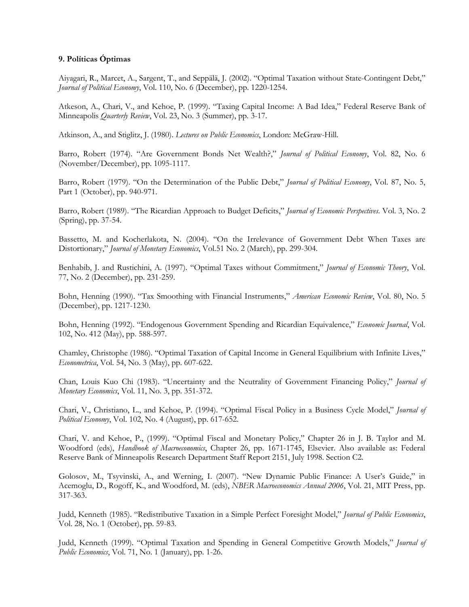## **9. Políticas Óptimas**

Aiyagari, R., Marcet, A., Sargent, T., and Seppälä, J. (2002). "Optimal Taxation without State-Contingent Debt," *Journal of Political Economy*, Vol. 110, No. 6 (December), pp. 1220-1254.

Atkeson, A., Chari, V., and Kehoe, P. (1999). "Taxing Capital Income: A Bad Idea," Federal Reserve Bank of Minneapolis *Quarterly Review*, Vol. 23, No. 3 (Summer), pp. 3-17.

Atkinson, A., and Stiglitz, J. (1980). *Lectures on Public Economics*, London: McGraw-Hill.

Barro, Robert (1974). "Are Government Bonds Net Wealth?," *Journal of Political Economy*, Vol. 82, No. 6 (November/December), pp. 1095-1117.

Barro, Robert (1979). "On the Determination of the Public Debt," *Journal of Political Economy*, Vol. 87, No. 5, Part 1 (October), pp. 940-971.

Barro, Robert (1989). "The Ricardian Approach to Budget Deficits," *Journal of Economic Perspectives*. Vol. 3, No. 2 (Spring), pp. 37-54.

Bassetto, M. and Kocherlakota, N. (2004). "On the Irrelevance of Government Debt When Taxes are Distortionary," *Journal of Monetary Economics*, Vol.51 No. 2 (March), pp. 299-304.

Benhabib, J. and Rustichini, A. (1997). "Optimal Taxes without Commitment," *Journal of Economic Theory*, Vol. 77, No. 2 (December), pp. 231-259.

Bohn, Henning (1990). "Tax Smoothing with Financial Instruments," *American Economic Review*, Vol. 80, No. 5 (December), pp. 1217-1230.

Bohn, Henning (1992). "Endogenous Government Spending and Ricardian Equivalence," *Economic Journal*, Vol. 102, No. 412 (May), pp. 588-597.

Chamley, Christophe (1986). "Optimal Taxation of Capital Income in General Equilibrium with Infinite Lives," *Econometrica*, Vol. 54, No. 3 (May), pp. 607-622.

Chan, Louis Kuo Chi (1983). "Uncertainty and the Neutrality of Government Financing Policy," *Journal of Monetary Economics*, Vol. 11, No. 3, pp. 351-372.

Chari, V., Christiano, L., and Kehoe, P. (1994). "Optimal Fiscal Policy in a Business Cycle Model," *Journal of Political Economy*, Vol. 102, No. 4 (August), pp. 617-652.

Chari, V. and Kehoe, P., (1999). "Optimal Fiscal and Monetary Policy," Chapter 26 in J. B. Taylor and M. Woodford (eds), *Handbook of Macroeconomics*, Chapter 26, pp. 1671-1745, Elsevier. Also available as: Federal Reserve Bank of Minneapolis Research Department Staff Report 2151, July 1998. Section C2.

Golosov, M., Tsyvinski, A., and Werning, I. (2007). "New Dynamic Public Finance: A User's Guide," in Acemoglu, D., Rogoff, K., and Woodford, M. (eds), *NBER Macroeconomics Annual 2006*, Vol. 21, MIT Press, pp. 317-363.

Judd, Kenneth (1985). "Redistributive Taxation in a Simple Perfect Foresight Model," *Journal of Public Economics*, Vol. 28, No. 1 (October), pp. 59-83.

Judd, Kenneth (1999). "Optimal Taxation and Spending in General Competitive Growth Models," *Journal of Public Economics*, Vol. 71, No. 1 (January), pp. 1-26.